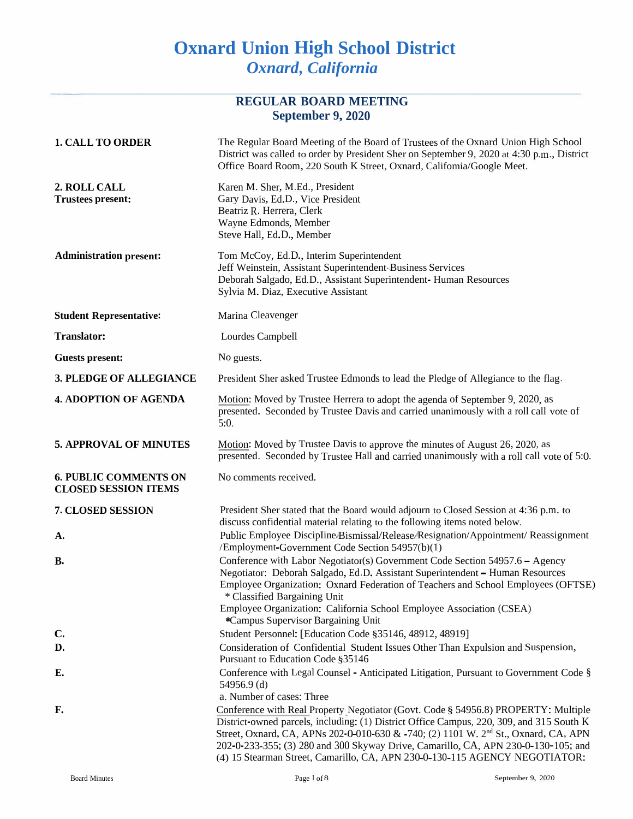# **Oxnard Union High School District** *Oxnard, California*

| <b>REGULAR BOARD MEETING</b><br>September 9, 2020           |                                                                                                                                                                                                                                                                                                                                                                                                                                                        |  |
|-------------------------------------------------------------|--------------------------------------------------------------------------------------------------------------------------------------------------------------------------------------------------------------------------------------------------------------------------------------------------------------------------------------------------------------------------------------------------------------------------------------------------------|--|
| <b>1. CALL TO ORDER</b>                                     | The Regular Board Meeting of the Board of Trustees of the Oxnard Union High School<br>District was called to order by President Sher on September 9, 2020 at 4:30 p.m., District<br>Office Board Room, 220 South K Street, Oxnard, Califomia/Google Meet.                                                                                                                                                                                              |  |
| 2. ROLL CALL<br><b>Trustees present:</b>                    | Karen M. Sher, M.Ed., President<br>Gary Davis, Ed.D., Vice President<br>Beatriz R. Herrera, Clerk<br>Wayne Edmonds, Member<br>Steve Hall, Ed.D., Member                                                                                                                                                                                                                                                                                                |  |
| <b>Administration present:</b>                              | Tom McCoy, Ed.D., Interim Superintendent<br>Jeff Weinstein, Assistant Superintendent-Business Services<br>Deborah Salgado, Ed.D., Assistant Superintendent- Human Resources<br>Sylvia M. Diaz, Executive Assistant                                                                                                                                                                                                                                     |  |
| <b>Student Representative:</b>                              | Marina Cleavenger                                                                                                                                                                                                                                                                                                                                                                                                                                      |  |
| <b>Translator:</b>                                          | Lourdes Campbell                                                                                                                                                                                                                                                                                                                                                                                                                                       |  |
| <b>Guests present:</b>                                      | No guests.                                                                                                                                                                                                                                                                                                                                                                                                                                             |  |
| 3. PLEDGE OF ALLEGIANCE                                     | President Sher asked Trustee Edmonds to lead the Pledge of Allegiance to the flag.                                                                                                                                                                                                                                                                                                                                                                     |  |
| <b>4. ADOPTION OF AGENDA</b>                                | Motion: Moved by Trustee Herrera to adopt the agenda of September 9, 2020, as<br>presented. Seconded by Trustee Davis and carried unanimously with a roll call vote of<br>5:0.                                                                                                                                                                                                                                                                         |  |
| <b>5. APPROVAL OF MINUTES</b>                               | Motion: Moved by Trustee Davis to approve the minutes of August 26, 2020, as<br>presented. Seconded by Trustee Hall and carried unanimously with a roll call vote of 5:0.                                                                                                                                                                                                                                                                              |  |
| <b>6. PUBLIC COMMENTS ON</b><br><b>CLOSED SESSION ITEMS</b> | No comments received.                                                                                                                                                                                                                                                                                                                                                                                                                                  |  |
| <b>7. CLOSED SESSION</b>                                    | President Sher stated that the Board would adjourn to Closed Session at 4:36 p.m. to<br>discuss confidential material relating to the following items noted below.                                                                                                                                                                                                                                                                                     |  |
| A.                                                          | Public Employee Discipline/Bismissal/Release/Resignation/Appointment/ Reassignment<br>/Employment-Government Code Section 54957(b)(1)                                                                                                                                                                                                                                                                                                                  |  |
| <b>B.</b>                                                   | Conference with Labor Negotiator(s) Government Code Section 54957.6 - Agency<br>Negotiator: Deborah Salgado, Ed.D. Assistant Superintendent - Human Resources<br>Employee Organization: Oxnard Federation of Teachers and School Employees (OFTSE)<br>* Classified Bargaining Unit<br>Employee Organization: California School Employee Association (CSEA)                                                                                             |  |
| $\mathbf{C}$                                                | *Campus Supervisor Bargaining Unit<br>Student Personnel: [Education Code §35146, 48912, 48919]                                                                                                                                                                                                                                                                                                                                                         |  |
| D.                                                          | Consideration of Confidential Student Issues Other Than Expulsion and Suspension,                                                                                                                                                                                                                                                                                                                                                                      |  |
| E.                                                          | Pursuant to Education Code §35146<br>Conference with Legal Counsel - Anticipated Litigation, Pursuant to Government Code §<br>54956.9 (d)<br>a. Number of cases: Three                                                                                                                                                                                                                                                                                 |  |
| F.                                                          | Conference with Real Property Negotiator (Govt. Code § 54956.8) PROPERTY: Multiple<br>District-owned parcels, including: (1) District Office Campus, 220, 309, and 315 South K<br>Street, Oxnard, CA, APNs 202-0-010-630 & -740; (2) 1101 W. 2 <sup>nd</sup> St., Oxnard, CA, APN<br>202-0-233-355; (3) 280 and 300 Skyway Drive, Camarillo, CA, APN 230-0-130-105; and<br>(4) 15 Stearman Street, Camarillo, CA, APN 230-0-130-115 AGENCY NEGOTIATOR: |  |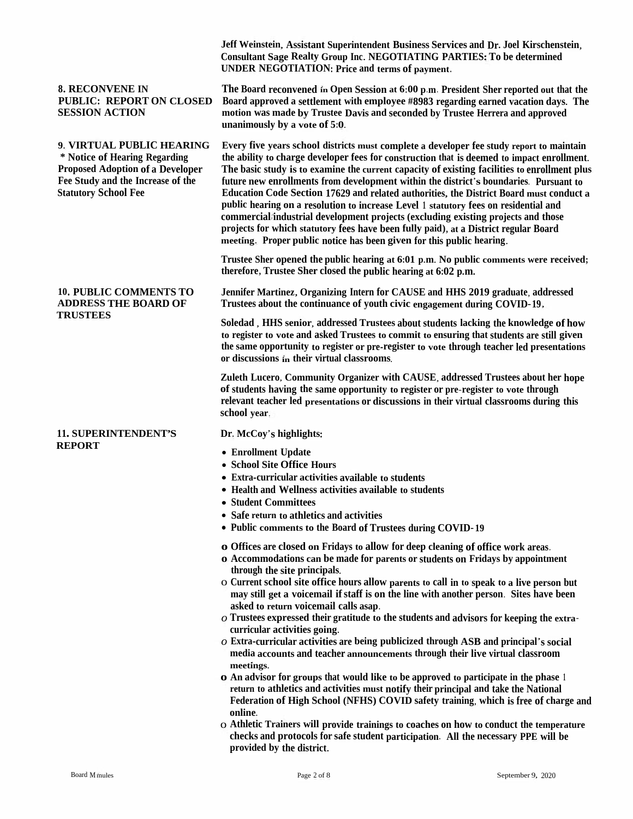|                                                                                                                                                                           | Jeff Weinstein, Assistant Superintendent Business Services and Dr. Joel Kirschenstein,<br><b>Consultant Sage Realty Group Inc. NEGOTIATING PARTIES: To be determined</b><br><b>UNDER NEGOTIATION: Price and terms of payment.</b>                                                                                                                                                                                                                                                                                                                                                                                                                                                                                                                                                                                                                                                                                                                                                                                                                                                                                                                                                                                                                                   |
|---------------------------------------------------------------------------------------------------------------------------------------------------------------------------|---------------------------------------------------------------------------------------------------------------------------------------------------------------------------------------------------------------------------------------------------------------------------------------------------------------------------------------------------------------------------------------------------------------------------------------------------------------------------------------------------------------------------------------------------------------------------------------------------------------------------------------------------------------------------------------------------------------------------------------------------------------------------------------------------------------------------------------------------------------------------------------------------------------------------------------------------------------------------------------------------------------------------------------------------------------------------------------------------------------------------------------------------------------------------------------------------------------------------------------------------------------------|
| <b>8. RECONVENE IN</b><br><b>PUBLIC: REPORT ON CLOSED</b><br><b>SESSION ACTION</b>                                                                                        | The Board reconvened in Open Session at 6:00 p.m. President Sher reported out that the<br>Board approved a settlement with employee #8983 regarding earned vacation days. The<br>motion was made by Trustee Davis and seconded by Trustee Herrera and approved<br>unanimously by a vote of 5:0.                                                                                                                                                                                                                                                                                                                                                                                                                                                                                                                                                                                                                                                                                                                                                                                                                                                                                                                                                                     |
| 9. VIRTUAL PUBLIC HEARING<br>* Notice of Hearing Regarding<br><b>Proposed Adoption of a Developer</b><br>Fee Study and the Increase of the<br><b>Statutory School Fee</b> | Every five years school districts must complete a developer fee study report to maintain<br>the ability to charge developer fees for construction that is deemed to impact enrollment.<br>The basic study is to examine the current capacity of existing facilities to enrollment plus<br>future new enrollments from development within the district's boundaries. Pursuant to<br>Education Code Section 17629 and related authorities, the District Board must conduct a<br>public hearing on a resolution to increase Level 1 statutory fees on residential and<br>commercial/industrial development projects (excluding existing projects and those<br>projects for which statutory fees have been fully paid), at a District regular Board<br>meeting. Proper public notice has been given for this public hearing.                                                                                                                                                                                                                                                                                                                                                                                                                                            |
|                                                                                                                                                                           | Trustee Sher opened the public hearing at 6:01 p.m. No public comments were received;<br>therefore, Trustee Sher closed the public hearing at 6:02 p.m.                                                                                                                                                                                                                                                                                                                                                                                                                                                                                                                                                                                                                                                                                                                                                                                                                                                                                                                                                                                                                                                                                                             |
| <b>10. PUBLIC COMMENTS TO</b><br><b>ADDRESS THE BOARD OF</b><br><b>TRUSTEES</b>                                                                                           | Jennifer Martinez, Organizing Intern for CAUSE and HHS 2019 graduate, addressed<br>Trustees about the continuance of youth civic engagement during COVID-19,                                                                                                                                                                                                                                                                                                                                                                                                                                                                                                                                                                                                                                                                                                                                                                                                                                                                                                                                                                                                                                                                                                        |
|                                                                                                                                                                           | Soledad, HHS senior, addressed Trustees about students lacking the knowledge of how<br>to register to vote and asked Trustees to commit to ensuring that students are still given<br>the same opportunity to register or pre-register to vote through teacher led presentations<br>or discussions in their virtual classrooms.                                                                                                                                                                                                                                                                                                                                                                                                                                                                                                                                                                                                                                                                                                                                                                                                                                                                                                                                      |
|                                                                                                                                                                           | Zuleth Lucero, Community Organizer with CAUSE, addressed Trustees about her hope<br>of students having the same opportunity to register or pre-register to vote through<br>relevant teacher led presentations or discussions in their virtual classrooms during this<br>school year.                                                                                                                                                                                                                                                                                                                                                                                                                                                                                                                                                                                                                                                                                                                                                                                                                                                                                                                                                                                |
| <b>11. SUPERINTENDENT'S</b>                                                                                                                                               | Dr. McCoy's highlights:                                                                                                                                                                                                                                                                                                                                                                                                                                                                                                                                                                                                                                                                                                                                                                                                                                                                                                                                                                                                                                                                                                                                                                                                                                             |
| <b>REPORT</b>                                                                                                                                                             | • Enrollment Update<br>• School Site Office Hours<br>• Extra-curricular activities available to students<br>• Health and Wellness activities available to students<br>• Student Committees<br>• Safe return to athletics and activities<br>• Public comments to the Board of Trustees during COVID-19                                                                                                                                                                                                                                                                                                                                                                                                                                                                                                                                                                                                                                                                                                                                                                                                                                                                                                                                                               |
|                                                                                                                                                                           | o Offices are closed on Fridays to allow for deep cleaning of office work areas.<br>o Accommodations can be made for parents or students on Fridays by appointment<br>through the site principals.<br>o Current school site office hours allow parents to call in to speak to a live person but<br>may still get a voicemail if staff is on the line with another person. Sites have been<br>asked to return voicemail calls asap.<br>$\sigma$ Trustees expressed their gratitude to the students and advisors for keeping the extra-<br>curricular activities going.<br>$\sigma$ Extra-curricular activities are being publicized through ASB and principal's social<br>media accounts and teacher announcements through their live virtual classroom<br>meetings.<br>o An advisor for groups that would like to be approved to participate in the phase 1<br>return to athletics and activities must notify their principal and take the National<br>Federation of High School (NFHS) COVID safety training, which is free of charge and<br>online.<br>O Athletic Trainers will provide trainings to coaches on how to conduct the temperature<br>checks and protocols for safe student participation. All the necessary PPE will be<br>provided by the district. |
|                                                                                                                                                                           |                                                                                                                                                                                                                                                                                                                                                                                                                                                                                                                                                                                                                                                                                                                                                                                                                                                                                                                                                                                                                                                                                                                                                                                                                                                                     |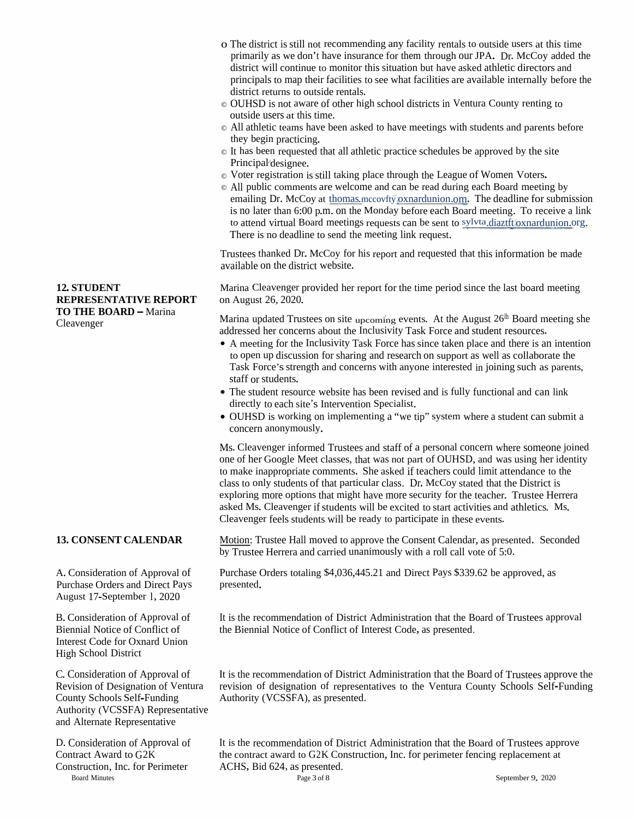- <sup>o</sup> The district is still not recommending any facility rentals to outside users at this time primarily as we don't have insurance for them through our JPA. Dr. McCoy added the district will continue to monitor this situation but have asked athletic directors and principals to map their facilities to see what facilities are available internally before the district returns to outside rentals.
- © OUHSD is not aware of other high school districts in Ventura County renting to outside users at this time.
- © All athletic teams have been asked to have meetings with students and parents before they begin practicing.
- © It has been requested that all athletic practice schedules be approve<sup>d</sup> by the site Principal'designee.
- © Voter registration is still taking <sup>p</sup>lace through the League of Women Voters.
- © All public comments are welcome and can be read during each Board meeting by emailing Dr. McCoy at thomas.mccovfty oxnardunion.om. The deadline for submission is no later than 6:00 p.m. on the Monday before each Board meeting. To receive <sup>a</sup> link to attend virtual Board meetings requests can be sent to sylvta.diaztft.oxnardunion.org. There is no deadline to send the meeting link request.

Trustees thanked Dr. McCoy for his repor<sup>t</sup> and requested that this information be made available on the district website.

Marina Cleavenger provided her repor<sup>t</sup> for the time period since the last board meeting on August 26, 2020.

Marina updated Trustees on site upcoming events. At the August  $26<sup>lh</sup>$  Board meeting she addressed her concerns about the Inclusivity Task Force and student resources.

- <sup>A</sup> meeting for the Inclusivity Task Force has since taken place and there is an intention to open up discussion for sharing and research on suppor<sup>t</sup> as well as collaborate the Task Force's strength and concerns with anyone interested in joining such as parents, staff or students.
- •The student resource website has been revised and is fully functional and can link directly to each site's Intervention Specialist.
- OUHSD is working on implementing <sup>a</sup> "we tip" system where <sup>a</sup> student can submit <sup>a</sup> concern anonymously.

Ms. Cleavenger informed Trustees and staff of <sup>a</sup> persona<sup>l</sup> concern where someone joined one of her Google Meet classes, that was not par<sup>t</sup> of OUHSD, and was using her identity to make inappropriate comments. She asked if teachers could limit attendance to the class to only students of that particular class. Dr. McCoy stated that the District is exploring more options that might have more security for the teacher. Trustee Herrera asked Ms. Cleavenger if students will be excited to start activities and athletics. Ms. Cleavenger feels students will be ready to participate in these events.

Motion: Trustee Hall moved to approve the Consent Calendar, as presented. Seconded by Trustee Herrera and carried unanimously with <sup>a</sup> roll call vote of 5:0.

Purchase Orders totaling \$4,036,445.21 and Direct Pays \$339.62 be approved, as

It is the recommendation of District Administration that the Board of Trustees approval the Biennial Notice of Conflict of Interest Code, as presented.

It is the recommendation of District Administration that the Board of Trustees approve the revision of designation of representatives to the Ventura County Schools Self-Funding Authority (VCSSFA), as presented.

It is the recommendation of District Administration that the Board of Trustees approve the contract award to G2K Construction, Inc. for perimeter fencing replacement at ACHS, Bid 624, as presented.

12. STUDENT<br>
TO THE BOARD – Marina<br>
TO THE BOARD – Marina<br>
Cleavenger<br>
Cleavenger<br>
Cleavenger<br>
Cleavenger<br>
Cleavenger<br>
Cleavenger<br>
Cleavenger<br>
Cleavenger<br>
Cleavenger<br>
Cleavenger<br>
Cleavenger<br>
Cleavenger<br>
Cleavenger<br>
Cleaven

August 17-September l, 2020

B.Consideration of Approval of Biennial Notice of Conflict of Interest Code for Oxnard Union High School District

C. Consideration of Approval of Revision of Designation of Ventura County Schools Self-Funding Authority (VCSSFA) Representative and Alternate Representative

D. Consideration of Approval of Contract Award to G2K Construction, Inc. for Perimeter Board Minutes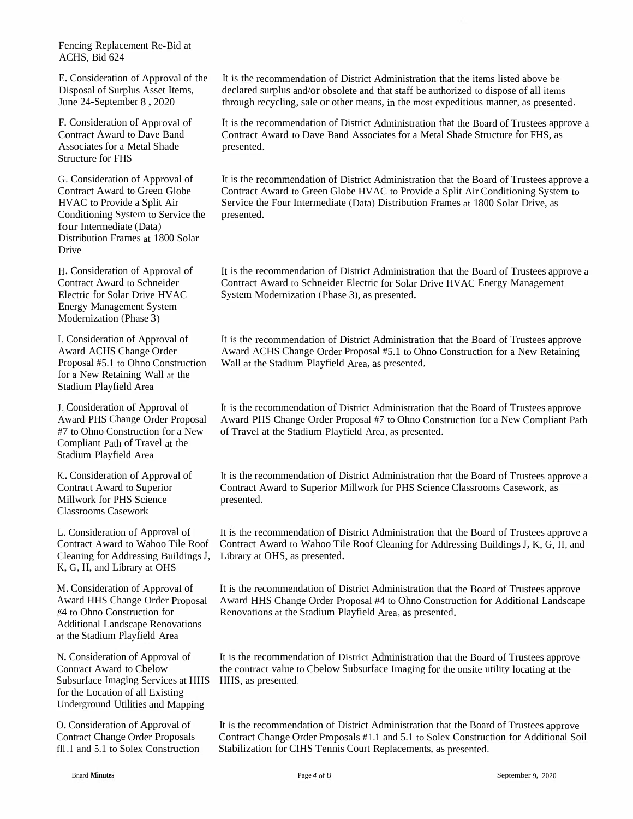Fencing Replacement Re-Bid at ACHS, Bid <sup>624</sup>

E. Consideration of Approval of the<br>Discover of Sambas Approximate Disposal of Surplus Asset Items, June 24-September <sup>8</sup> , <sup>2020</sup>

F. Consideration of Approval of<br>Contract Award to Dave Band s for a Metal Shade Structure for FHS

G. Consideration of Approval of Contract Award to Green Globe<br>UNAC to Pravide a Sulit Air HVAC to Provide a Split Air HVAC to Provide a Split Air<br>Conditioning System to Service the<br>four Intermediate (Data) four Intermediate (Data) Distribution Frames at <sup>1800</sup> Solar Drive

H. Consideration of Approval of Contract Award to Schneider<br>Electric for Salar Drive HVA Electric for Solar Drive HVACEnergy Management System Modernization (Phase 3)

I. Consideration of Approval of Award ACHS Change Order<br>Proposel #5.1 to Obno Const Proposal #5.1 $\frac{1}{1}$  to Proposal #5.1 to Ohno Construction — Wall at the Stadium Playfield Area, as presented.<br>for a New Retaining Wall at the r a New Retaining Wall at the<br>adium Playfield Area Stadium Playfield Area

J. Consideration of Approval of Award PHS Change Order Proposal Award PHS#7 to Ohno Construction for <sup>a</sup> New#7 to Ohno Construction for a New of Travel at the Stadium Playfield Area, as presented.<br>Compliant Path of Travel at the t Path of Travel at the<br>Nextiald Asset Stadium Playfield Area

K.. Consideration of Approval of<br>Contract Award to Sunarian Contract Award to Superior<br>Millwork for DUS Science Millwork for PHS Science<br>Cleasnoms Cesework Classrooms Casework

L. Consideration of Approval of<br>Contract Award to Webse Tile I Contract Award to Cleaning for Addressing Buildings J, Library at OHS, as presented.<br>K, G, H, and Library at OHS G, H, and Library at OHS

M. ConsiderationAward HHS Change Order Proposal Award HHS«4 to Ohno Construction for %4 to Ohno Construction for Renovations at the Stadium Playfield Area, as presented.<br>Additional Landscape Renovations l Landscape Renovations at the Stadium Playfield Area

N. Consideration of Approval of Contract Award to Cbelow<br>Subsurface Imagine Service Subsurface Imaging Services at HHS Subsurface Imaging Services at HHS HHS, as presented.<br>for the Location of all Existing<br>Hadananum Hilities and Manujus Underground Utilities and Mapping

O. Consideration of Approval of Contract Change Order Proposals fll .l and 5.1 to Solex Construction

It is the recommendation of District Administration that the items listed above be<br>declared symbols and/or sharlots and that staff he sutharized to dispare a fall items declared surplus and/or obsolete and that staff be authorized to dispose of all items<br>through requeling sole on other means in the west sure ditious meaner, as greent through recycling, sale or other means, in the most expeditious manner, as presented.

It is the recommendation of District Administration that the Board of Trustees approve a<br>Contract Award to Dave Band Accesistse for a Matel Shade Structure for EUS, as Contract Award to Dave Band Associates for <sup>a</sup> Metal Shade Structure for FHS, as presented.

It is the recommendation of District Administration that the Board of Trustees approve a<br>Contract Award to Crean Clabe UVAC to Provide a Salit Air Candidarius Sentence Contract Award to Green Globe HVAC to Provide <sup>a</sup> Split Air Conditioning System to Service the Four Intermediate (Data) Distribution Frames at 1800 Solar Drive, as presented.

It is the recommendation of District Administration that the Board of Trustees approve a<br>Contract Award to Schneider Flastije for Sclap Dijus IWAC Freezy Management Contract Award to Schneider Electric for Solar Drive HVAC Energy Management System Modernization (Phase 3), as presented.

It is the recommendation of District Administration that the Board of Trustees approve Award ACHS Change Order Proposal #5.1 to Ohno Construction for <sup>a</sup> New Retaining

S Change Order Proposal #7 to Ohno Construction for a New Compliant Path<br>it the Stadium Playfield Area, as presented It is the recommendation of District Administration that the Board of Trustees approve<br>Award PHS Change Order Prenasel #7 to Ohne Construction for a Naw Complient Per

It is the recommendation of District Administration that the Board of Trustees approve a<br>Contract Award to Synonian Millyweb for PUS Seizure Clearnance Contract Lee Contract Award to Superior Millwork for PHS Science Classrooms Casework, as presented.

o Wahoo Tile Roof Contract Award to Wahoo Tile Roof Cleaning for Addressing Buildings J, K, G, H, and negative Buildings J, K, G, H, and It is the recommendation of District Administration that the Board of Trustees approve a<br>Contract Award to Waboo Tile Boof Cleaning for Addressing Buildings L. K. G. H. and

n of Approval of It is the recommendation of District Administration that the Board of Trustees approve Award HHS Change Order Proposal #4 to Ohno Construction for Additional Landscape

> It is the recommendation of District Administration that the Board of Trustees approve<br>the contract value to Chelow Subsurface Investigation for the while whility leading to the the contract value to Cbelow Subsurface Imaging for the onsite utility locating at the<br>HHS. as presented.

It is the recommendation of District Administration that the Board of Trustees approve<br>Contract Chance Order Proposals #1.1 and 5.1 to Salar Construction for Additional Sc Contract Change Order Proposals #1.1 and 5.1 to Solex Construction for Additional Soil Stabilization for CIHS Tennis Court Replacements, as presented.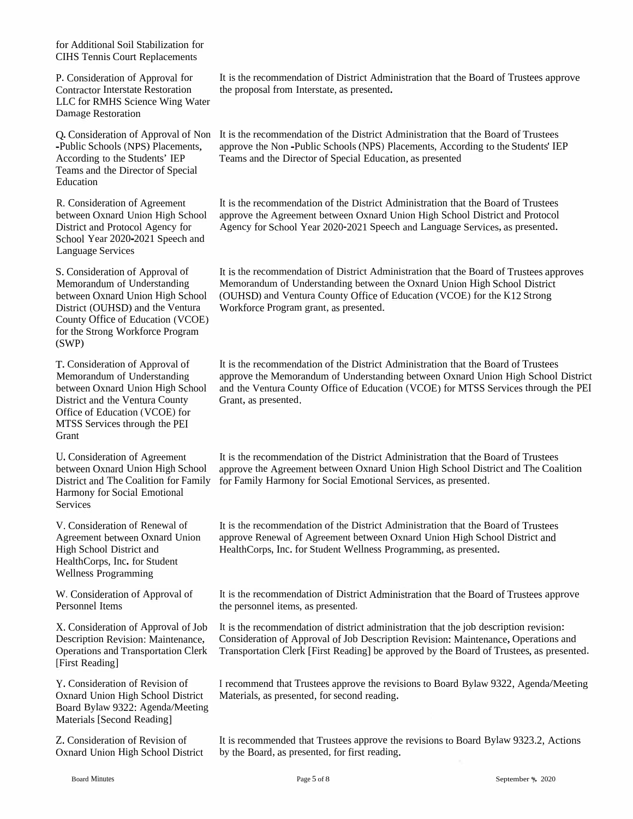for Additional Soil Stabilization for CIHS Tennis Court Replacements

LLC for RMHS Science Wing Water Damage Restoration

Teams and the Director of Special Education

School Year 2020-2021 Speech and Language Services

County Office of Education (VCOE) for the Strong Workforce Program (SWP)

District and the Ventura County Grant, as presented. Office of Education (VCOE) for MTSS Services through the PEI Grant

U. Consideration of Agreement Harmony for Social Emotional Services

V. Consideration of Renewal of Agreement between Oxnard Union High School District and HealthCorps, Inc. for Student Wellness Programming

W. Consideration of Approval of Personnel Items

[First Reading]

Y. Consideration of Revision of Board Bylaw 9322: Agenda/Meeting Materials [Second Reading]

Z. Consideration of Revision of

P. Consideration of Approval for It is the recommendation of District Administration that the Board of Trustees approve Contractor Interstate Restoration the proposa<sup>l</sup> from Interstate, as presented.

Q.Consideration of Approval of Non It is the recommendation of the District Administration that the Board of Trustees -Public Schools (NPS) Placements, approve the Non -Public Schools (NPS) Placements, According to the Students' IEP According to the Students' IEP Teams and the Director of Special Education, as presented

R. Consideration of Agreement It is the recommendation of the District Administration that the Board of Trustees between Oxnard Union High School approve the Agreement between Oxnard Union High School District and Protocol District and Protocol Agency for Agency for School Year 2020-2021 Speech and Language Services, as presented.

S. Consideration of Approval of It is the recommendation of District Administration that the Board of Trustees approves Memorandum of Understanding Memorandum of Understanding between the Oxnard Union High School District<br>between Oxnard Union High School (OUHSD) and Ventura County Office of Education (VCOE) for the K12 Strong between Oxnard Union High School (OUHSD) and Ventura County Office of Education (VCOE) for the K12 Strong<br>District (OUHSD) and the Ventura Workforce Program grant, as presented. Workforce Program grant, as presented.

T. Consideration of Approval of It is the recommendation of the District Administration that the Board of Trustees Memorandum of Understanding approve the Memorandum of Understanding between Oxnard Union High School District between Oxnard Union High School and the Ventura County Office of Education (VCOE) for MTSS Services through the PEI

between Oxnard Union High School approve the Agreement between Oxnard Union High School District and The Coalition District and The Coalition for Family for Family Harmony for Social Emotional Services, as presented. It is the recommendation of the District Administration that the Board of Trustees

> It is the recommendation of the District Administration that the Board of Trustees approve Renewal of Agreement between Oxnard Union High School District and HealthCorps, Inc. for Student Wellness Programming, as presented.

It is the recommendation of District Administration that the Board of Trustees approve the personnel items, as presented,

X. Consideration of Approval of Job It is the recommendation of district administration that the job description revision: Description Revision: Maintenance, Consideration of Approval of Job Description Revision: Maintenance, Operations and Operations and Transportation Clerk Transportation Clerk [First Reading] be approved by the Board of Trustees, as presented.

Oxnard Union High School District Materials, as presented, for second reading. Y. Consideration of Revision of<br>
Oxnard Union High School District Materials, as presented, for second reading.<br>
Board Bylaw 9322: Agenda/Meeting<br>
Materials [Second Reading]<br>
Z. Consideration of Revision of It is recommend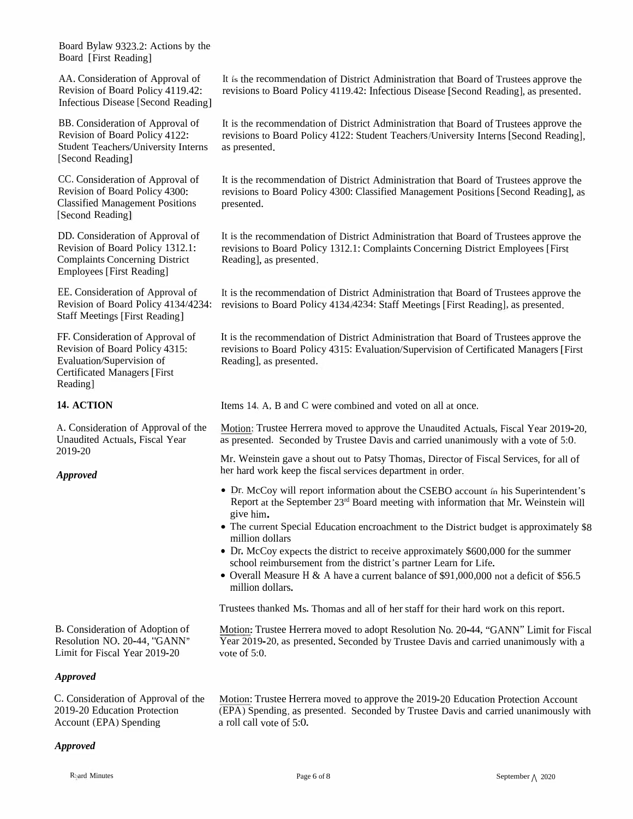Board Bylaw 9323.2: Actions by the<br>Board TFirst Reading1 Board [First Reading]

AA. Consideration of Approval of Revision of Board Policy 4119.42:<br>Infectious Disease [Sasand Basdin Infectious Disease [Second Reading]

BB. Consideration of Approval of Revision of Board Policy 4122:<br>Student Teachers (University In Student Teachers/University Interns [Second Reading]

CC. Consideration of Approval of Revision of Board Policy 4300:<br>Classified Managament Desition Classified Management Positions [Second Reading]

DD. Consideration of Approval of Revision of Board Policy 1312.1:<br>Compleints Consequing District Complaints Concerning District Employees [First Reading]

EE. Consideration of Approval of Revision of Board Policy 4134/4234:<br>Steff Mastings [First Deading] Staff Meetings [First Reading]

FF. Consideration of Approval of<br>Perision of Peard Policy 4215. Revision of Board Policy 4315:<br>Explosive Compution of Evaluation/Supervision of Certificated Managers [First Reading]

### **14. ACTION**

A. Consideration of Approval of the<br>Unaudited Actuals Fiscal Vear Unaudited Actuals, Fiscal Year<br>2010.20 2019-20

B. Consideration of Adoption of<br>Resolution NO. 20-44, "GANN"<br>Limit for Fiscal Year 2019-20

### *Approved*

C. Consideration of Approval of the<br>2010.20 Education Protection 2019-20 Education Protection Account (EPA) Spending

### *Approved*

It is the recommendation of District Administration that Board of Trustees approve the<br>revisions to Board Boliay 4110.42: Infectious Discose [Second Boardina], as appear to 1. revisions to Board Policy 4119.42: Infectious Disease [Second Reading], as presented.

It is the recommendation of District Administration that Board of Trustees approve the<br>revisions to Board Policy 4122. Student Tracker (University Interna [Second Postina] revisions to Board Policy 4122: Student Teachers/University Interns [Second Reading],<br>as presented as presented.

It is the recommendation of District Administration that Board of Trustees approve the<br>maxisions to Board Boliary 4200: Classified Management Boarding (Second Boarding) revisions to Board Policy 4300: Classified Management Positions [Second Reading], as presented.

It is the recommendation of District Administration that Board of Trustees approve the<br>maxisions to Board Boliau 1212 1: Compleints Concerning District Employees [First revisions to Board Policy 1312.1: Complaints Concerning District Employees [First<br>Boading] as presented Reading], as presented.

It is the recommendation of District Administration that Board of Trustees approve the<br>revisions to Poard Policy 4124/4234; Stoff Meetings [First Poading], as presented revisions to Board Policy <sup>4134</sup> <sup>4234</sup>: Staff Meetings [First Reading], as presented.

It is the recommendation of District Administration that Board of Trustees approve the<br>maxisions to Panel Policy 4215: Franketing (Separation of Garificeted Management) revisions to Board Policy <sup>4315</sup>: Evaluation/Supervision of Certificated Managers [First Reading], as presented.

Items <sup>14</sup>. <sup>A</sup>, <sup>B</sup> and <sup>C</sup> were combined and voted on all at once.

Motion: Trustee Herrera moved to approve the Unaudited Actuals, Fiscal Year 2019-20, as presented. Seconded by Trustee Davis and carried unanimously with <sup>a</sup> vote of <sup>5</sup>:0.

Mr. Weinstein gave <sup>a</sup> shout out to Patsy Thomas, Director of Fiscal Services, for all of her hard work keep the fiscal services department in order.

- Dr. McCoy will report information about the CSEBO<br>Report at the September  $23<sup>rd</sup>$  Board meeting with info Dr. McCoy will report information about the CSEBO account in his Superintendent's<br>Report at the September 23<sup>rd</sup> Board meeting with information that Mr. Weinstein will give him. **Approved**<br>
• Dr. McCoy wil<br>
Report at the S<br>
give him.<br>
• The current Sp<br>
million dollars<br>
• Dr. McCoy exp<br>
school reimbur<br>
• Overall Measu<br>
million dollars.
	- The current Special Education encroachment to the District budget is approximately \$8 million dollars million dollars<br>De M.G
	- Dr. McCoy expects the district to receive approximately  $$600,000$  for the summer school reimbursement from the district's partner Learn for Life school reimbursement from the district's partner Learn for Life.<br>• Overall Measure H & A have a current balance of \$91,000,000
	- Overall Measure <sup>H</sup> & <sup>A</sup> have <sup>a</sup> current balance of \$91,000,<sup>000</sup> not <sup>a</sup> deficit of \$56.5 million dollars.

Trustees thanked Ms. Thomas and all of her staff for their hard work on this report.

Motion: Trustee Herrera moved to adopt Resolution No. 20-44, "GANN" Limit for Fiscal<br>Noon 2010, 20, as agreemed Seconded by Trustee Decisional campion was been built as Year 2019-20, as presented. Seconded by Trustee Davis and carried unanimously with a<br>usta of 5:0 vote of  $5:0$ .

Motion: Trustee Herrera moved to approve the 2019-20 Education Protection Account<br>(EBA) Sponding, as prosented. Seconded by Trustee Davis and corried unanimously w (EPA) Spending, as presented. Seconded by Trustee Davis and carried unanimously with<br>a rall call wate of 5:0 a roll call vote of <sup>5</sup>:0.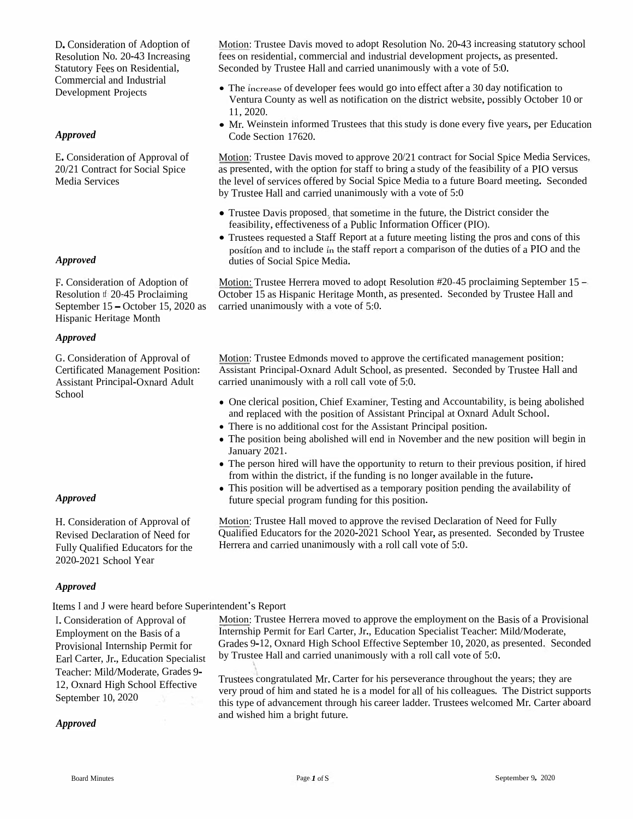**Consideration of Adoption of**<br>
Resolution No. 20-43 Increasing fees on residential, consideration Statutory Fees on Residential, Seconded by Trustee H<br>
Commercial and Industrial **Commercial and Industrial Commercial Comme** 

E. Consideration of Approval of 20/21 Contract for Social Spice Media Services

Hispanic Heritage Month

### *Approved*

G. Consideration of Approval of Certificated Management Position: Assistant Principal-Oxnard Adult School

2020-2021 School Year

### *Approved*

Items I and J were heard before Superintendent's Report

I.Consideration of Approval of Employment on the Basis of <sup>a</sup> Provisional Internship Permit for Earl Carter, Jr., Education Specialist Teacher: Mild/Moderate, Grades 9- 12, Oxnard High School Effective September 10, 2020

Motion: Trustee Davis moved to adopt Resolution No. 20-43 increasing statutory school fees on residential, commercial and industrial development projects, as presented. Seconded by Trustee Hall and carried unanimously with <sup>a</sup> vote of 5:0.

- The increase of developer fees would go into effect after a 30 day notification to Ventura County as well as notification on the district website, possibly October 10 or 11**,** 2020**.**
- •Mr. Weinstein informed Trustees that this study is done every five years, per Education

Motion: Trustee Davis moved to approve 20/21 contract for Social Spice Media Services, as presented, with the option for staff to bring <sup>a</sup> study of the feasibility of <sup>a</sup> PIO versus the level of services offered by Social Spice Media to <sup>a</sup> future Board meeting. Seconded by Trustee Hall and carried unanimously with <sup>a</sup> vote of 5:0

- Trustee Davis proposed, that sometime in the future, the District consider the feasibility, effectiveness of <sup>a</sup> Public Information Officer (PIO).
- Trustees requested a Staff Report at a future meeting listing the pros and cons of this position and to include in the staff repor<sup>t</sup> <sup>a</sup> comparison of the duties of <sup>a</sup> PIO and the duties of Social Spice Media.

Motion: Trustee Herrera moved to adopt Resolution #20-45 proclaiming September 15 - October 15 as Hispanic Heritage Month, as presented. Seconded by Trustee Hall and Approved<br>
F. Consideration of Adoption of Motion: Trustee Herrera moved to adop<br>
Resolution tf 20-45 Proclaiming October 15 as Hispanic Heritage Month<br>
September 15 – October 15, 2020 as carried unanimously with a vote of

> Motion: Trustee Edmonds moved to approve the certificated managemen<sup>t</sup> position: Assistant Principal-Oxnard Adult School, as presented. Seconded by Trustee Hall and carried unanimously with <sup>a</sup> roll call vote of 5:0.

- One clerical position, Chief Examiner, Testing and Accountability, is being abolished and replaced with the position of Assistant Principal at Oxnard Adult School.
- There is no additional cost for the Assistant Principal position.
- The position being abolished will end in November and the new position will begin in January 2021.
- The person hired will have the opportunity to return to their previous position, if hired from within the district, if the funding is no longer available in the future.
- This position will be advertised as <sup>a</sup> temporary position pending the availability of future special program funding for this position.

Motion: Trustee Hall moved to approve the revised Declaration of Need for Fully Qualified Educators for the 2020-2021 School Year, as presented. Seconded by Trustee Approved<br>
H. Consideration of Approval of Motion: Trustee Hall moved to approve the revised Declaration<br>
Revised Declaration of Need for Qualified Educators for the 2020-2021 School Year, as prese<br>
Fully Qualified Educator

> Motion: Trustee Herrera moved to approve the employment on the Basis of <sup>a</sup> Provisional Internship Permit for Earl Carter, Jr., Education Specialist Teacher: Mild/Moderate, Grades 9-12, Oxnard High School Effective September 10, 2020, as presented. Seconded by Trustee Hall and carried unanimously with <sup>a</sup> roll call vote of 5:0.

Trustees congratulated Mr. Carter for his perseverance throughout the years; they are very prou<sup>d</sup> of him and stated he is <sup>a</sup> model for all of his colleagues. The District supports this type of advancement through his career ladder. Trustees welcomed Mr. Carter aboard and wished him <sup>a</sup> bright future. *Approved*